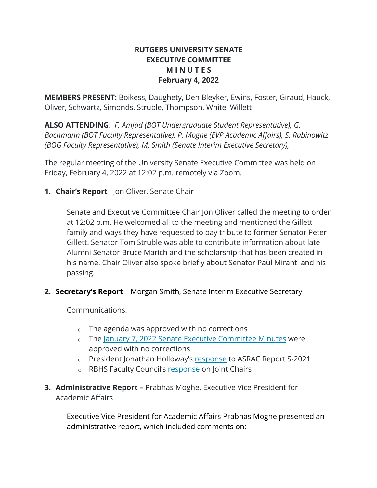## **RUTGERS UNIVERSITY SENATE EXECUTIVE COMMITTEE M I N U T E S February 4, 2022**

**MEMBERS PRESENT:** Boikess, Daughety, Den Bleyker, Ewins, Foster, Giraud, Hauck, Oliver, Schwartz, Simonds, Struble, Thompson, White, Willett

**ALSO ATTENDING**: *F. Amjad (BOT Undergraduate Student Representative), G. Bachmann (BOT Faculty Representative), P. Moghe (EVP Academic Affairs), S. Rabinowitz (BOG Faculty Representative), M. Smith (Senate Interim Executive Secretary),* 

The regular meeting of the University Senate Executive Committee was held on Friday, February 4, 2022 at 12:02 p.m. remotely via Zoom.

**1. Chair's Report**– Jon Oliver, Senate Chair

Senate and Executive Committee Chair Jon Oliver called the meeting to order at 12:02 p.m. He welcomed all to the meeting and mentioned the Gillett family and ways they have requested to pay tribute to former Senator Peter Gillett. Senator Tom Struble was able to contribute information about late Alumni Senator Bruce Marich and the scholarship that has been created in his name. Chair Oliver also spoke briefly about Senator Paul Miranti and his passing.

**2. Secretary's Report** – Morgan Smith, Senate Interim Executive Secretary

Communications:

- $\circ$  The agenda was approved with no corrections
- o The January 7, 2022 Senate Executive Committee Minutes were approved with no corrections
- o President Jonathan Holloway's response to ASRAC Report S-2021
- o RBHS Faculty Council's response on Joint Chairs
- **3. Administrative Report –** Prabhas Moghe, Executive Vice President for Academic Affairs

Executive Vice President for Academic Affairs Prabhas Moghe presented an administrative report, which included comments on: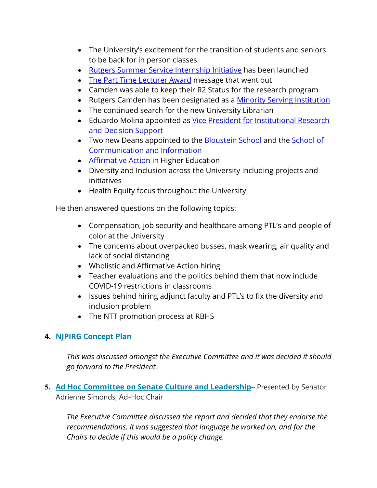- The University's excitement for the transition of students and seniors to be back for in person classes
- Rutgers Summer Service Internship Initiative has been launched
- The Part Time Lecturer Award message that went out
- Camden was able to keep their R2 Status for the research program
- Rutgers Camden has been designated as a Minority Serving Institution
- The continued search for the new University Librarian
- Eduardo Molina appointed as Vice President for Institutional Research and Decision Support
- Two new Deans appointed to the Bloustein School and the School of Communication and Information
- Affirmative Action in Higher Education
- Diversity and Inclusion across the University including projects and initiatives
- Health Equity focus throughout the University

He then answered questions on the following topics:

- Compensation, job security and healthcare among PTL's and people of color at the University
- The concerns about overpacked busses, mask wearing, air quality and lack of social distancing
- Wholistic and Affirmative Action hiring
- Teacher evaluations and the politics behind them that now include COVID-19 restrictions in classrooms
- Issues behind hiring adjunct faculty and PTL's to fix the diversity and inclusion problem
- The NTT promotion process at RBHS

# **4. NJPIRG Concept Plan**

*This was discussed amongst the Executive Committee and it was decided it should go forward to the President.*

**5. Ad Hoc Committee on Senate Culture and Leadership**– Presented by Senator Adrienne Simonds, Ad-Hoc Chair

*The Executive Committee discussed the report and decided that they endorse the recommendations. It was suggested that language be worked on, and for the Chairs to decide if this would be a policy change.*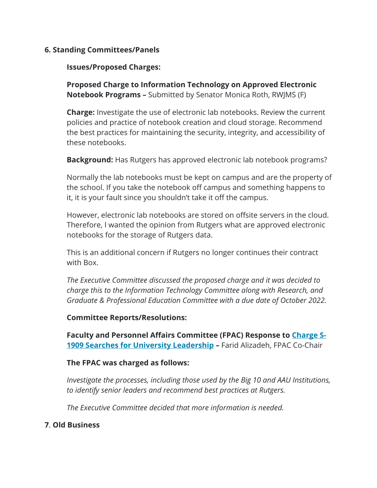## **6. Standing Committees/Panels**

## **Issues/Proposed Charges:**

**Proposed Charge to Information Technology on Approved Electronic Notebook Programs –** Submitted by Senator Monica Roth, RWJMS (F)

**Charge:** Investigate the use of electronic lab notebooks. Review the current policies and practice of notebook creation and cloud storage. Recommend the best practices for maintaining the security, integrity, and accessibility of these notebooks.

**Background:** Has Rutgers has approved electronic lab notebook programs?

Normally the lab notebooks must be kept on campus and are the property of the school. If you take the notebook off campus and something happens to it, it is your fault since you shouldn't take it off the campus.

However, electronic lab notebooks are stored on offsite servers in the cloud. Therefore, I wanted the opinion from Rutgers what are approved electronic notebooks for the storage of Rutgers data.

This is an additional concern if Rutgers no longer continues their contract with Box.

*The Executive Committee discussed the proposed charge and it was decided to charge this to the Information Technology Committee along with Research, and Graduate & Professional Education Committee with a due date of October 2022.* 

#### **Committee Reports/Resolutions:**

**Faculty and Personnel Affairs Committee (FPAC) Response to Charge S-1909 Searches for University Leadership –** Farid Alizadeh, FPAC Co-Chair

#### **The FPAC was charged as follows:**

*Investigate the processes, including those used by the Big 10 and AAU Institutions, to identify senior leaders and recommend best practices at Rutgers.*

*The Executive Committee decided that more information is needed.*

#### **7**. **Old Business**